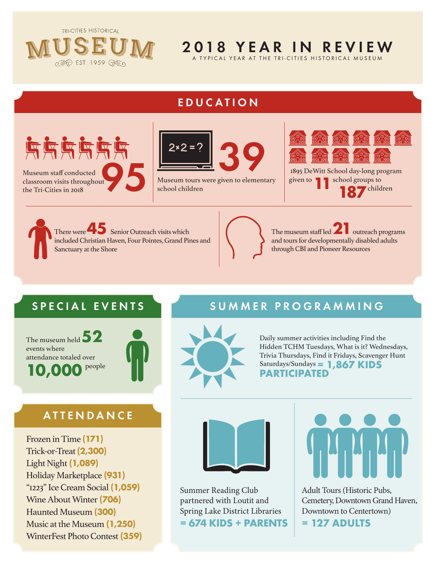**TRI-CITIES HISTORICAL** 



# 2018 YEAR IN REVIEW

A TYPICAL YEAR AT THE TRI-CITIES HISTORICAL MUSEUM

#### EDUCATION





Museum tours were given to elementary school children



given to **11**school groups to  **187** children

There were **45 Senior Outreach visits which** included Christian Haven, Four Pointes, Grand Pines and Sanctuary at the Shore



## SPECIAL EVENTS SUMMER PROGRAMMING

The museum held **52** events where attendance totaled over **10,000** people



## **ATTENDANCE**

Frozen in Time **(171)** Trick-or-Treat **(2,300)** Light Night **(1,089)** Holiday Marketplace **(931)** "1223" Ice Cream Social **(1,059)** Wine About Winter **(706)** Haunted Museum **(300)** Music at the Museum **(1,250)** WinterFest Photo Contest **(359)**



Daily summer activities including Find the Hidden TCHM Tuesdays, What is it? Wednesdays, Trivia Thursdays, Find it Fridays, Scavenger Hunt Saturdays/Sundays **= 1,867 KIDS**<br>**PARTICIPATED** 



Summer Reading Club partnered with Loutit and Spring Lake District Libraries **= 674 KIDS + PARENTS**



Adult Tours (Historic Pubs, Cemetery, Downtown Grand Haven, Downtown to Centertown) **= 127 ADULTS**